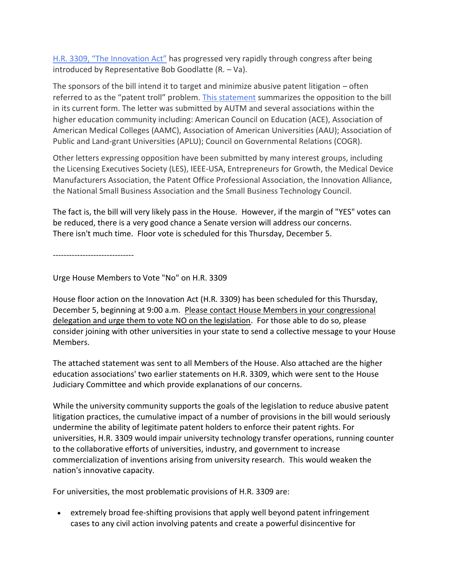[H.R. 3309, "The Innovation Act"](http://www.autm.net/AM/Template.cfm?Section=Public_Policy&Template=/CM/ContentDisplay.cfm&ContentID=12140) has progressed very rapidly through congress after being introduced by Representative Bob Goodlatte (R. – Va).

The sponsors of the bill intend it to target and minimize abusive patent litigation – often referred to as the "patent troll" problem. [This statement](http://www.autm.net/AM/Template.cfm?Section=Public_Policy&Template=/CM/ContentDisplay.cfm&ContentID=12143) summarizes the opposition to the bill in its current form. The letter was submitted by AUTM and several associations within the higher education community including: American Council on Education (ACE), Association of American Medical Colleges (AAMC), Association of American Universities (AAU); Association of Public and Land-grant Universities (APLU); Council on Governmental Relations (COGR).

Other letters expressing opposition have been submitted by many interest groups, including the Licensing Executives Society (LES), IEEE-USA, Entrepreneurs for Growth, the Medical Device Manufacturers Association, the Patent Office Professional Association, the Innovation Alliance, the National Small Business Association and the Small Business Technology Council.

The fact is, the bill will very likely pass in the House. However, if the margin of "YES" votes can be reduced, there is a very good chance a Senate version will address our concerns. There isn't much time. Floor vote is scheduled for this Thursday, December 5.

------------------------------

Urge House Members to Vote "No" on H.R. 3309

House floor action on the Innovation Act (H.R. 3309) has been scheduled for this Thursday, December 5, beginning at 9:00 a.m. Please contact House Members in your congressional delegation and urge them to vote NO on the legislation. For those able to do so, please consider joining with other universities in your state to send a collective message to your House Members.

The attached statement was sent to all Members of the House. Also attached are the higher education associations' two earlier statements on H.R. 3309, which were sent to the House Judiciary Committee and which provide explanations of our concerns.

While the university community supports the goals of the legislation to reduce abusive patent litigation practices, the cumulative impact of a number of provisions in the bill would seriously undermine the ability of legitimate patent holders to enforce their patent rights. For universities, H.R. 3309 would impair university technology transfer operations, running counter to the collaborative efforts of universities, industry, and government to increase commercialization of inventions arising from university research. This would weaken the nation's innovative capacity.

For universities, the most problematic provisions of H.R. 3309 are:

 extremely broad fee-shifting provisions that apply well beyond patent infringement cases to any civil action involving patents and create a powerful disincentive for